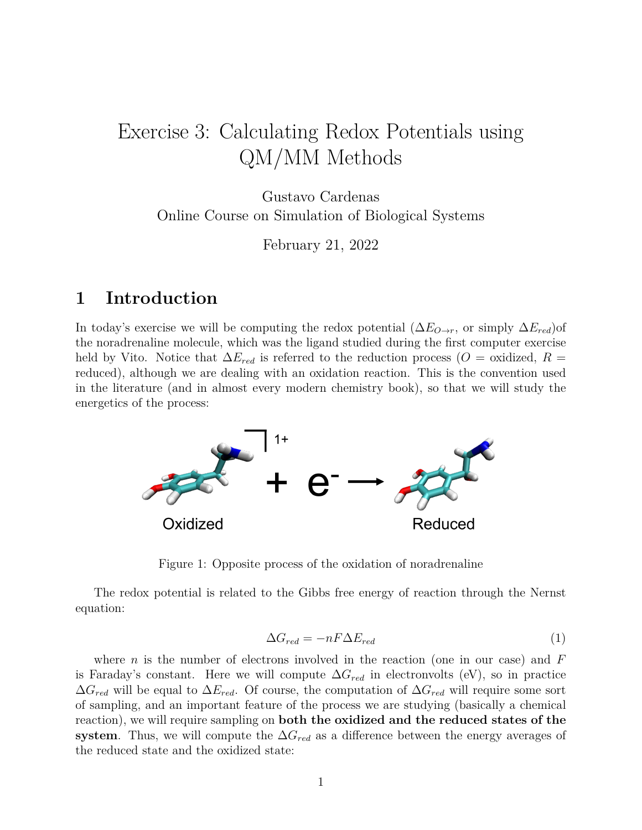# Exercise 3: Calculating Redox Potentials using QM/MM Methods

Gustavo Cardenas Online Course on Simulation of Biological Systems

February 21, 2022

# **1 Introduction**

In today's exercise we will be computing the redox potential  $(\Delta E_{O\rightarrow r},$  or simply  $\Delta E_{red}$ )of the noradrenaline molecule, which was the ligand studied during the first computer exercise held by Vito. Notice that  $\Delta E_{red}$  is referred to the reduction process ( $O =$  oxidized,  $R =$ reduced), although we are dealing with an oxidation reaction. This is the convention used in the literature (and in almost every modern chemistry book), so that we will study the energetics of the process:



Figure 1: Opposite process of the oxidation of noradrenaline

The redox potential is related to the Gibbs free energy of reaction through the Nernst equation:

$$
\Delta G_{red} = -nF\Delta E_{red} \tag{1}
$$

where *n* is the number of electrons involved in the reaction (one in our case) and *F* is Faraday's constant. Here we will compute  $\Delta G_{red}$  in electronvolts (eV), so in practice ∆*Gred* will be equal to ∆*Ered*. Of course, the computation of ∆*Gred* will require some sort of sampling, and an important feature of the process we are studying (basically a chemical reaction), we will require sampling on **both the oxidized and the reduced states of the system**. Thus, we will compute the ∆*Gred* as a difference between the energy averages of the reduced state and the oxidized state: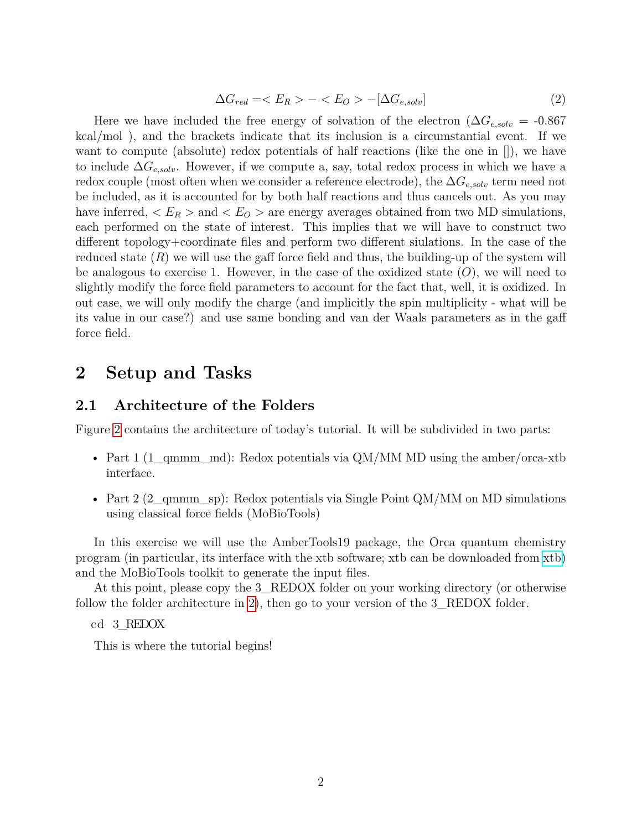$$
\Delta G_{red} = \langle E_R \rangle - \langle E_O \rangle - [\Delta G_{e,solv}] \tag{2}
$$

Here we have included the free energy of solvation of the electron  $(\Delta G_{e, solv} = -0.867$ kcal*/*mol ), and the brackets indicate that its inclusion is a circumstantial event. If we want to compute (absolute) redox potentials of half reactions (like the one in []), we have to include ∆*Ge,solv*. However, if we compute a, say, total redox process in which we have a redox couple (most often when we consider a reference electrode), the ∆*Ge,solv* term need not be included, as it is accounted for by both half reactions and thus cancels out. As you may have inferred,  $\langle E_R \rangle$  and  $\langle E_O \rangle$  are energy averages obtained from two MD simulations, each performed on the state of interest. This implies that we will have to construct two different topology+coordinate files and perform two different siulations. In the case of the reduced state  $(R)$  we will use the gaff force field and thus, the building-up of the system will be analogous to exercise 1. However, in the case of the oxidized state (*O*), we will need to slightly modify the force field parameters to account for the fact that, well, it is oxidized. In out case, we will only modify the charge (and implicitly the spin multiplicity - what will be its value in our case?) and use same bonding and van der Waals parameters as in the gaff force field.

# **2 Setup and Tasks**

### **2.1 Architecture of the Folders**

Figure [2](#page-2-0) contains the architecture of today's tutorial. It will be subdivided in two parts:

- Part 1 (1\_qmmm\_md): Redox potentials via QM*/*MM MD using the amber*/*orca-xtb interface.
- Part 2 (2\_qmmm\_sp): Redox potentials via Single Point QM*/*MM on MD simulations using classical force fields (MoBioTools)

In this exercise we will use the AmberTools19 package, the Orca quantum chemistry program (in particular, its interface with the xtb software; xtb can be downloaded from [xtb\)](https://github.com/grimme-lab/xtb/releases/tag/v6.4.1) and the MoBioTools toolkit to generate the input files.

At this point, please copy the 3\_REDOX folder on your working directory (or otherwise follow the folder architecture in [2\)](#page-2-0), then go to your version of the 3\_REDOX folder.

cd 3\_REDOX

This is where the tutorial begins!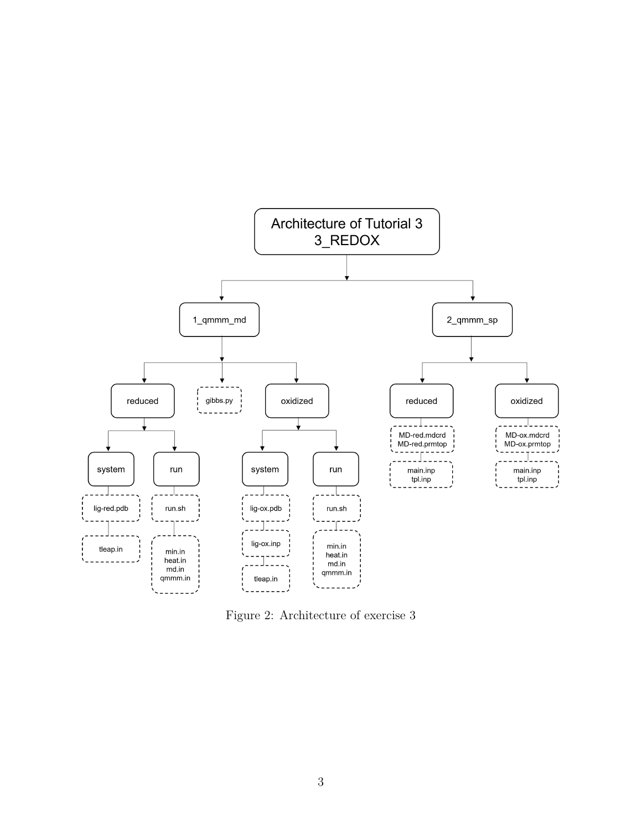

<span id="page-2-0"></span>Figure 2: Architecture of exercise 3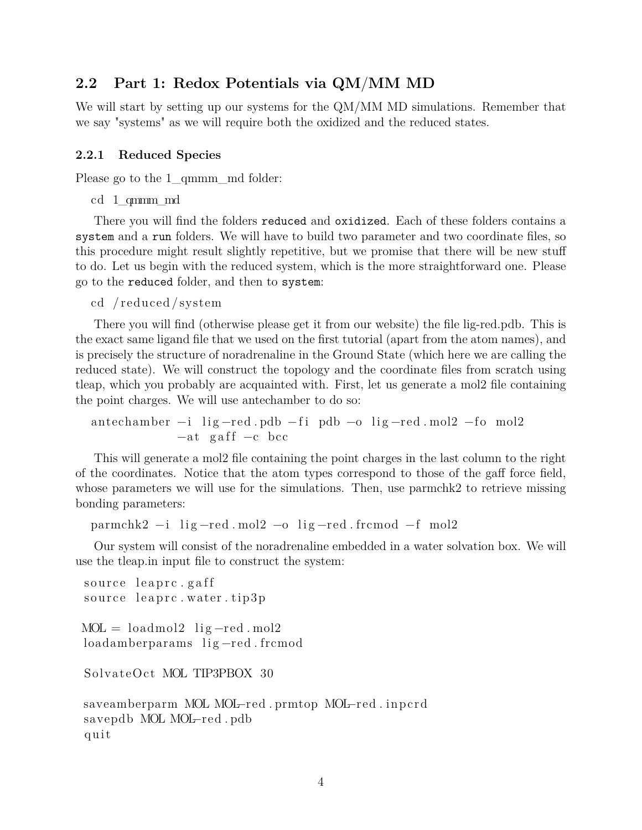# **2.2 Part 1: Redox Potentials via QM***/***MM MD**

We will start by setting up our systems for the QM*/*MM MD simulations. Remember that we say "systems" as we will require both the oxidized and the reduced states.

#### **2.2.1 Reduced Species**

Please go to the 1\_qmmm\_md folder:

cd 1\_qmmm\_md

There you will find the folders reduced and oxidized. Each of these folders contains a system and a run folders. We will have to build two parameter and two coordinate files, so this procedure might result slightly repetitive, but we promise that there will be new stuff to do. Let us begin with the reduced system, which is the more straightforward one. Please go to the reduced folder, and then to system:

```
cd / reduced / system
```
There you will find (otherwise please get it from our website) the file lig-red.pdb. This is the exact same ligand file that we used on the first tutorial (apart from the atom names), and is precisely the structure of noradrenaline in the Ground State (which here we are calling the reduced state). We will construct the topology and the coordinate files from scratch using tleap, which you probably are acquainted with. First, let us generate a mol2 file containing the point charges. We will use antechamber to do so:

antechamber  $-i$  lig-red .pdb  $-fi$  pdb  $-o$  lig-red .mol2  $-fo$  mol2  $-at$  gaff  $-c$  bcc

This will generate a mol2 file containing the point charges in the last column to the right of the coordinates. Notice that the atom types correspond to those of the gaff force field, whose parameters we will use for the simulations. Then, use parmchk2 to retrieve missing bonding parameters:

parmchk2 −i lig-red.mol2 −o lig-red.frcmod −f mol2

Our system will consist of the noradrenaline embedded in a water solvation box. We will use the tleap.in input file to construct the system:

```
source leaprc.gaff
source leaprc. water. tip3p
MOL = loadmol2 lig-red . mol2
loadamberparams lig-red frcmod
SolvateOct MOL TIP3PBOX 30
saveamberparm MOL MOL–red .prmtop MOL–red .inpcrd
savepdb MOL MOL−red . pdb
q ui t
```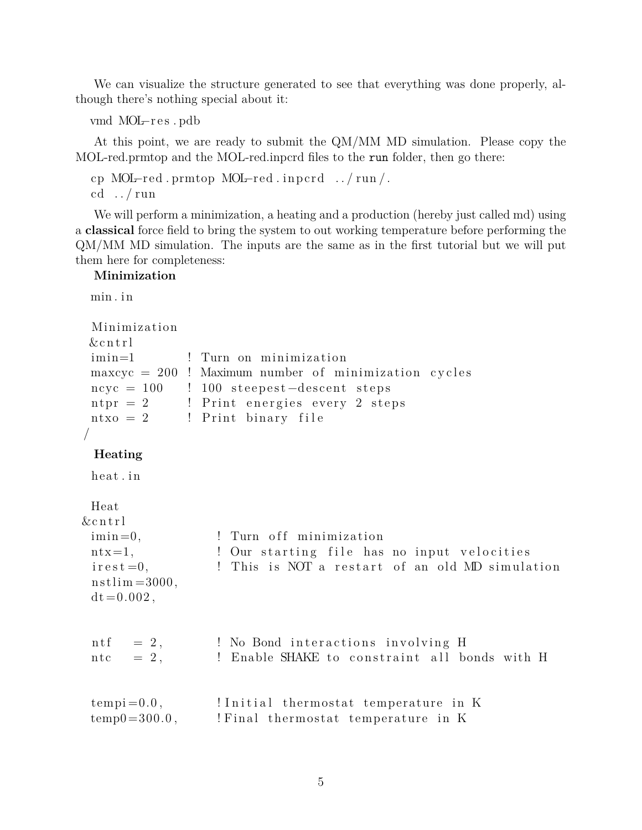We can visualize the structure generated to see that everything was done properly, although there's nothing special about it:

vmd MOL–res.pdb

At this point, we are ready to submit the QM*/*MM MD simulation. Please copy the MOL-red.prmtop and the MOL-red.inpcrd files to the run folder, then go there:

cp MOL–red .prmtop MOL–red .inpcrd ../run/. cd  $\ldots/\text{run}$ 

We will perform a minimization, a heating and a production (hereby just called md) using a **classical** force field to bring the system to out working temperature before performing the QM*/*MM MD simulation. The inputs are the same as in the first tutorial but we will put them here for completeness:

#### **Minimization**

min.in

```
Minimiza tion
& c n t r l
imin=1 : Turn on minimization
maxcyc = 200 ! Maximum number of minimization cycles
n cyc = 100 ! 100 steepest-descent steps
n <i>t</i> = 2 ! Print energies every 2 steps
ntxo = 2 ! Print binary file
/
```
#### **Heating**

heat.in

Heat

```
& cntrl
 \lim_{n=0}, \lim_{n \to \infty} \lim_{n \to \infty} \lim_{n \to \infty} \lim_{n \to \infty} \lim_{n \to \infty}ntx=1, 9. 1 Our starting file has no input velocities
 i rest = 0, <br> ! This is NOT a restart of an old MD simulation
 nstlim = 3000,
 dt = 0.002,
 ntf = 2, \blacksquare No Bond interactions involving H
 ntc = 2, \blacksquare ! Enable SHAKE to constraint all bonds with H
 tempi = 0.0, !Initial thermostat temperature in K
 temp0 = 300.0, ! Final thermostat temperature in K
```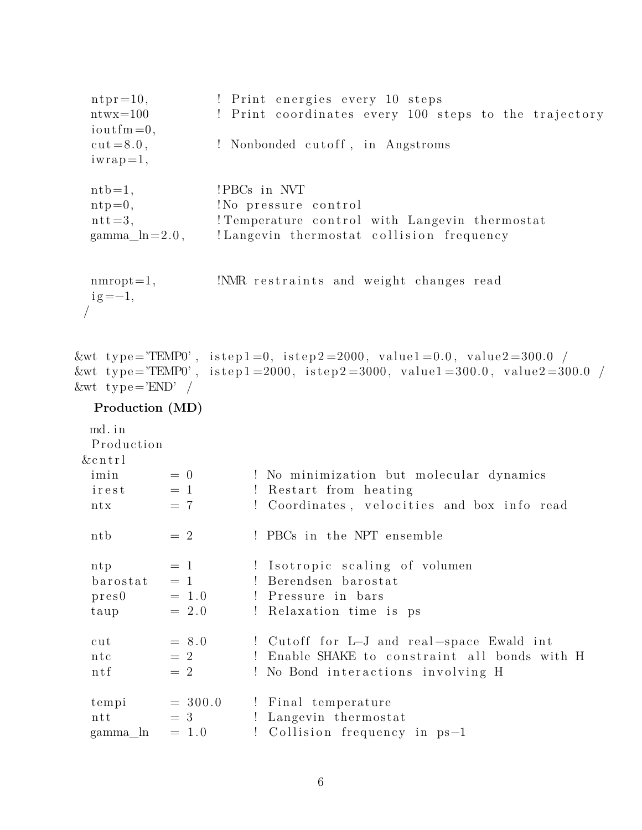$n_{\text{tr}} = 10$ , ! Print energies every 10 steps ntwx=100 ! Print coordinates every 100 steps to the trajectory  $i$ outfm  $=0$ ,  $cut = 8.0$ ,  $\qquad$  ! Nonbonded cutoff, in Angstroms  $iwrap=1,$  $\n$  ntb=1,  $\n$  ! PBCs in NVT  $\text{ntp=0},$  ! No pressure control  ${\rm nt} = 3$ , ! Temperature control with Langevin thermostat  $gamma_h = 2.0$ , ! Langevin thermostat collision frequency  $\text{mmropt}=1,$  !NMR restraints and weight changes read  $ig = -1$ , / &wt type="TEMP0", istep1=0, istep2=2000, value1=0.0, value2=300.0 / &wt type="TEMP0', istep1=2000, istep2=3000, value1=300.0, value2=300.0 /  $&\text{wt type} = 'END'$  / **Production (MD)** md. in Production  $&$  c n t r l  $\lim_{n \to \infty}$  = 0  $\lim_{n \to \infty}$  ! No minimization but molecular dynamics  $i$  rest  $= 1$  ! Restart from heating ntx  $= 7$  ! Coordinates, velocities and box info read ntb  $= 2$  ! PBCs in the NPT ensemble ntp  $= 1$  ! Isotropic scaling of volumen  $bar{a} = 1$  ! Berendsen barostat  $pres0 = 1.0$  ! Pressure in bars  $t \text{aup}$  = 2.0 ! Relaxation time is ps cut  $= 8.0$  ! Cutoff for L–J and real-space Ewald int ntc  $= 2$  ! Enable SHAKE to constraint all bonds with H ntf  $= 2$  ! No Bond interactions involving H  $tempi = 300.0$  ! Final temperature ntt  $= 3$  ! Langevin thermostat gamma  $\ln = 1.0$  ! Collision frequency in ps−1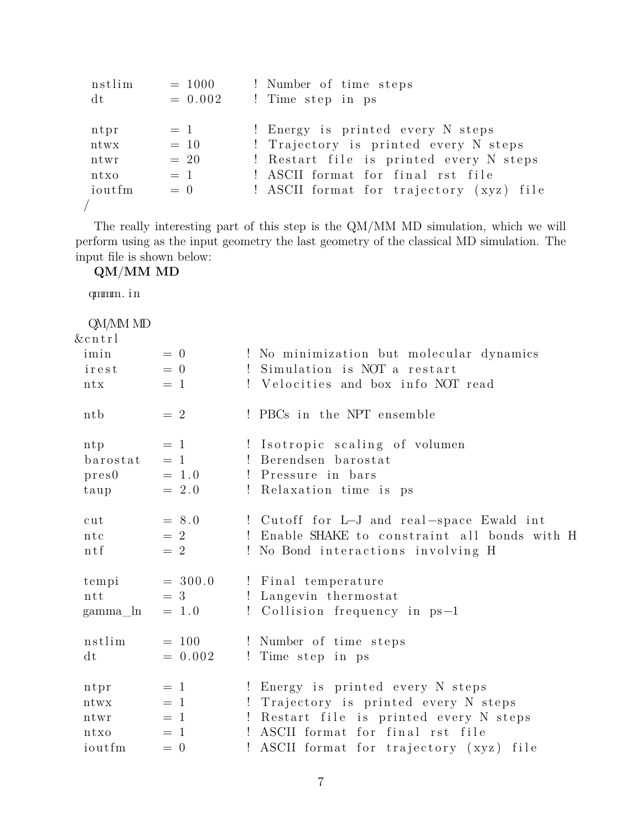| nstlim | $= 1000$  | ! Number of time steps                   |
|--------|-----------|------------------------------------------|
| dt     | $= 0.002$ | ! Time step in ps                        |
|        |           |                                          |
| ntpr   | $= 1$     | ! Energy is printed every N steps        |
| ntwx   | $= 10$    | ! Trajectory is printed every N steps    |
| ntwr   | $= 20$    | ! Restart file is printed every N steps  |
| ntxo   | $=$ 1     | ! ASCII format for final rst file        |
| ioutfm | $= 0$     | ! ASCII format for trajectory (xyz) file |
|        |           |                                          |

The really interesting part of this step is the QM*/*MM MD simulation, which we will perform using as the input geometry the last geometry of the classical MD simulation. The input file is shown below:

**QM***/***MM MD**

qmmm. i n

| QM/MM MD  |           |                                               |
|-----------|-----------|-----------------------------------------------|
| $&$ cntrl |           |                                               |
| imin      | $= 0$     | ! No minimization but molecular dynamics      |
| irest     | $= 0$     | Simulation is NOT a restart<br>$\mathbf{I}$   |
| ntx       | $=$ 1     | ! Velocities and box info NOT read            |
| ntb       | $= 2$     | ! PBCs in the NPT ensemble                    |
| ntp       | $= 1$     | ! Isotropic scaling of volumen                |
| barostat  | $= 1$     | ! Berendsen barostat                          |
| pres0     | $= 1.0$   | ! Pressure in bars                            |
| taup      | $= 2.0$   | ! Relaxation time is ps                       |
| cut       | $= 8.0$   | ! Cutoff for L-J and real-space Ewald int     |
| ntc       | $= 2$     | ! Enable SHAKE to constraint all bonds with H |
| ntf       | $= 2$     | ! No Bond interactions involving H            |
| tempi     | $= 300.0$ | ! Final temperature                           |
| ntt       | $=$ 3     | ! Langevin thermostat                         |
| gamma_ln  | $= 1.0$   | ! Collision frequency in ps-1                 |
| nstlim    | $= 100$   | ! Number of time steps                        |
| dt        | $= 0.002$ | ! Time step in ps                             |
| ntpr      | $= 1$     | ! Energy is printed every N steps             |
| ntwx      | $=$ 1     | Trajectory is printed every N steps<br>Ţ.     |
| ntwr      | $= 1$     | Restart file is printed every N steps         |
| ntxo      | $=$ 1     | ASCII format for final rst file<br>Ţ.         |
| ioutfm    | $= 0$     | ASCII format for trajectory (xyz)<br>file     |
|           |           |                                               |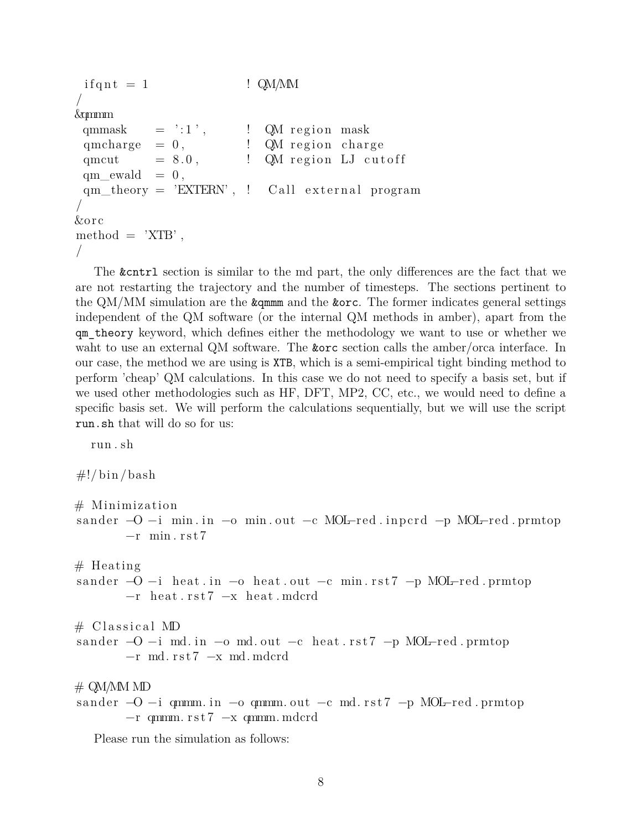```
if q \text{ nt } = 1 ! QM/MM
/
&qmmm
 qmmask = ':1', \qquad ! QM region mask
 qmcharge = 0, \qquad \qquad! QM region charge
 qmcut = 8.0, ! QM region LJ cutoff
 qm<sub>l</sub>ewald = 0,qm\_theory = 'EXTERN', ! Callex./
&o r c
method = 'XTB',
/
```
The &cntrl section is similar to the md part, the only differences are the fact that we are not restarting the trajectory and the number of timesteps. The sections pertinent to the QM/MM simulation are the **&qmmm** and the **&orc**. The former indicates general settings independent of the QM software (or the internal QM methods in amber), apart from the qm\_theory keyword, which defines either the methodology we want to use or whether we waht to use an external QM software. The &orc section calls the amber*/*orca interface. In our case, the method we are using is XTB, which is a semi-empirical tight binding method to perform 'cheap' QM calculations. In this case we do not need to specify a basis set, but if we used other methodologies such as HF, DFT, MP2, CC, etc., we would need to define a specific basis set. We will perform the calculations sequentially, but we will use the script run.sh that will do so for us:

run . sh

 $\#!/ \text{bin}/ \text{bash}$ 

```
# Minimiza tion
sander −O −i min. in −o min. out −c MOL-red. inperd −p MOL-red. prmtop
       -r min.rst7
# Heating
sander -O -i heat in -o heat out -c min rst7 -p MOL-red prmtop
       −r heat.rst7 −x heat.mdcrd
\# Classical MD
sander -O - i md. in -o md. out -c heat . rst7 -p MOL-red . prmtop
       −r md. r s t 7 −x md. mdcrd
\# QM/MM MD
sander -O −i qmmm. in -o qmmm. out -c md. rst7 -p MOL-red. prmtop
       −r qmmm. r s t 7 −x qmmm. mdcrd
```
Please run the simulation as follows: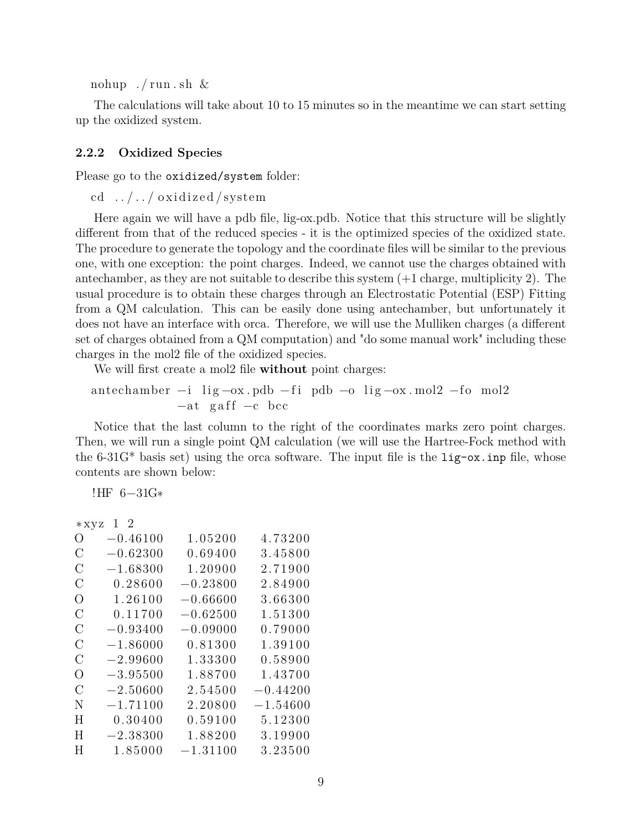nohup  $./$  run  $.\,\text{sh} \ \&$ 

The calculations will take about 10 to 15 minutes so in the meantime we can start setting up the oxidized system.

#### **2.2.2 Oxidized Species**

Please go to the oxidized/system folder:

cd  $\dots/$   $\dots/$  oxidized/system

Here again we will have a pdb file, lig-ox.pdb. Notice that this structure will be slightly different from that of the reduced species - it is the optimized species of the oxidized state. The procedure to generate the topology and the coordinate files will be similar to the previous one, with one exception: the point charges. Indeed, we cannot use the charges obtained with antechamber, as they are not suitable to describe this system (+1 charge, multiplicity 2). The usual procedure is to obtain these charges through an Electrostatic Potential (ESP) Fitting from a QM calculation. This can be easily done using antechamber, but unfortunately it does not have an interface with orca. Therefore, we will use the Mulliken charges (a different set of charges obtained from a QM computation) and "do some manual work" including these charges in the mol2 file of the oxidized species.

We will first create a mol2 file **without** point charges:

antechamber −i lig −ox.pdb −fi pdb −o lig −ox.mol2 −fo mol2  $-at$  gaff  $-c$  bcc

Notice that the last column to the right of the coordinates marks zero point charges. Then, we will run a single point QM calculation (we will use the Hartree-Fock method with the 6-31G<sup>\*</sup> basis set) using the orca software. The input file is the  $lig - ox$  inp file, whose contents are shown below:

!HF 6−31G∗

| $*xyz$           | 12         |            |            |
|------------------|------------|------------|------------|
| $\left( \right)$ | $-0.46100$ | 1.05200    | 4.73200    |
| $\rm C$          | $-0.62300$ | 0.69400    | 3.45800    |
| $\rm C$          | $-1.68300$ | 1.20900    | 2.71900    |
| С                | 0.28600    | $-0.23800$ | 2.84900    |
| O                | 1.26100    | $-0.66600$ | 3.66300    |
| $\rm C$          | 0.11700    | $-0.62500$ | 1.51300    |
| $\mathcal{C}$    | $-0.93400$ | $-0.09000$ | 0.79000    |
| $\rm C$          | $-1.86000$ | 0.81300    | 1.39100    |
| $\mathcal{C}$    | $-2.99600$ | 1.33300    | 0.58900    |
| O                | $-3.95500$ | 1.88700    | 1.43700    |
| $\rm C$          | $-2.50600$ | 2.54500    | $-0.44200$ |
| N                | $-1.71100$ | 2.20800    | $-1.54600$ |
| H                | 0.30400    | 0.59100    | 5.12300    |
| H                | $-2.38300$ | 1.88200    | 3.19900    |
| H                | 1.85000    | $-1.31100$ | 3.23500    |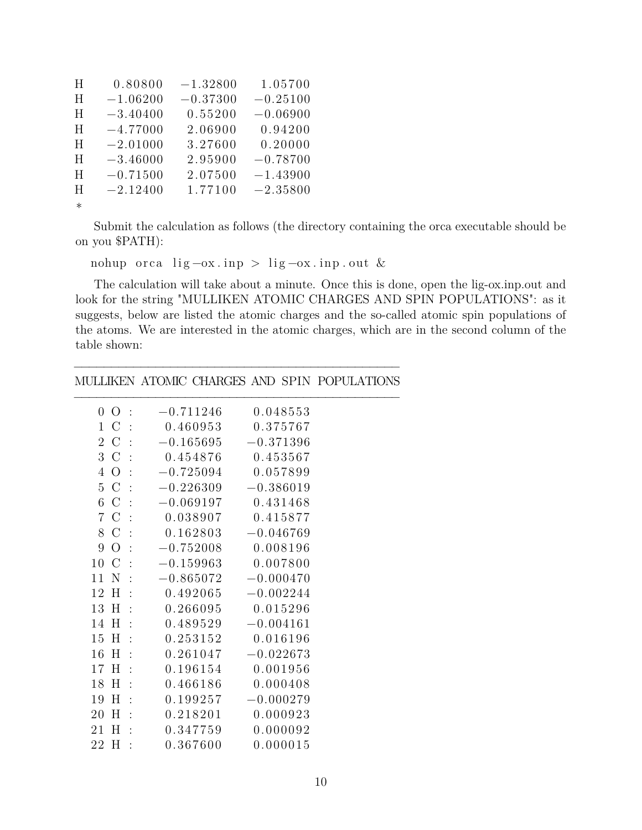| H      | 0.80800    | $-1.32800$ | 1.05700    |
|--------|------------|------------|------------|
| H      | $-1.06200$ | $-0.37300$ | $-0.25100$ |
| H      | $-3.40400$ | 0.55200    | $-0.06900$ |
| H      | $-4.77000$ | 2.06900    | 0.94200    |
| H      | $-2.01000$ | 3.27600    | 0.20000    |
| H      | $-3.46000$ | 2.95900    | $-0.78700$ |
| H      | $-0.71500$ | 2.07500    | $-1.43900$ |
| H      | $-2.12400$ | 1.77100    | $-2.35800$ |
| $\ast$ |            |            |            |

Submit the calculation as follows (the directory containing the orca executable should be on you \$PATH):

nohup orca lig  $-\alpha x$ . inp > lig  $-\alpha x$ . inp. out &

The calculation will take about a minute. Once this is done, open the lig-ox.inp.out and look for the string "MULLIKEN ATOMIC CHARGES AND SPIN POPULATIONS": as it suggests, below are listed the atomic charges and the so-called atomic spin populations of the atoms. We are interested in the atomic charges, which are in the second column of the table shown:

### −−−−−−−−−−−−−−−−−−−−−−−−−−−−−−−−−−−−−−−−−−−− MULLIKEN ATOMIC CHARGES AND SPIN POPULATIONS

| $\overline{O}$<br>$\boldsymbol{0}$ | $-0.711246$<br>$\ddot{\phantom{1}}$   | 0.048553    |  |
|------------------------------------|---------------------------------------|-------------|--|
| $1\,C$                             | 0.460953<br>$\ddot{\phantom{1}}$ :    | 0.375767    |  |
| $\mathcal{C}$<br>$\overline{2}$    | $-0.165695$<br>$\ddot{\phantom{1}}$ : | $-0.371396$ |  |
| 3 C                                | 0.454876<br>$\ddot{\phantom{1}}$      | 0.453567    |  |
| $\overline{O}$<br>$\overline{4}$   | $-0.725094$                           | 0.057899    |  |
| 5 C                                | $-0.226309$<br>$\ddot{\phantom{1}}$   | $-0.386019$ |  |
| $\mathcal{C}$<br>6                 | $-0.069197$<br>$\cdot$                | 0.431468    |  |
| $\mathcal{C}$<br>$\overline{7}$    | 0.038907                              | 0.415877    |  |
| $\mathcal{C}$<br>8                 | 0.162803<br>$\ddot{\phantom{1}}$ :    | $-0.046769$ |  |
| $\overline{O}$<br>9                | $-0.752008$<br>$\ddot{\phantom{1}}$ : | 0.008196    |  |
| 10<br>$\mathcal{C}$                | $-0.159963$<br>$\ddot{\phantom{1}}$   | 0.007800    |  |
| 11<br>N                            | $-0.865072$<br>$\ddot{\phantom{1}}$   | $-0.000470$ |  |
| H<br>12                            | 0.492065<br>$\ddot{\phantom{1}}$      | $-0.002244$ |  |
| 13 H                               | 0.266095<br>$\ddot{\phantom{1}}$      | 0.015296    |  |
| H<br>14                            | 0.489529<br>$\cdot$                   | $-0.004161$ |  |
| H<br>15                            | 0.253152<br>$\cdot$                   | 0.016196    |  |
| H<br>16                            | 0.261047<br>$\ddot{\phantom{1}}$      | $-0.022673$ |  |
| H<br>17                            | 0.196154<br>$\cdot$                   | 0.001956    |  |
| 18<br>H                            | 0.466186<br>$\cdot$                   | 0.000408    |  |
| H<br>19                            | 0.199257<br>$\ddot{\phantom{1}}$      | $-0.000279$ |  |
| 20<br>H                            | 0.218201<br>$\cdot$                   | 0.000923    |  |
| H<br>21                            | 0.347759<br>$\ddot{\cdot}$            | 0.000092    |  |
| H<br>22                            | 0.367600<br>$\cdot$                   | 0.000015    |  |
|                                    |                                       |             |  |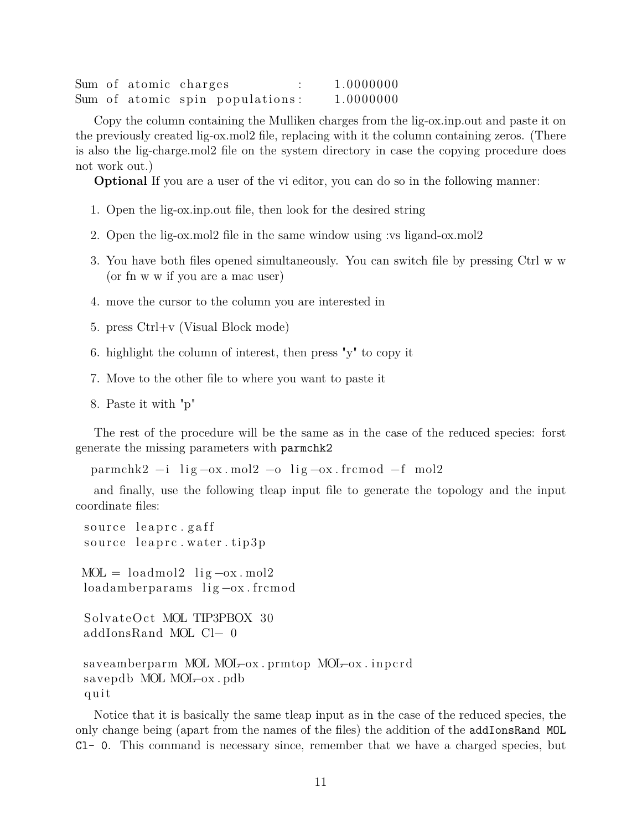|  | Sum of atomic charges |                                 | 1.0000000 |
|--|-----------------------|---------------------------------|-----------|
|  |                       | Sum of atomic spin populations: | 1.0000000 |

Copy the column containing the Mulliken charges from the lig-ox.inp.out and paste it on the previously created lig-ox.mol2 file, replacing with it the column containing zeros. (There is also the lig-charge.mol2 file on the system directory in case the copying procedure does not work out.)

**Optional** If you are a user of the vi editor, you can do so in the following manner:

- 1. Open the lig-ox.inp.out file, then look for the desired string
- 2. Open the lig-ox.mol2 file in the same window using :vs ligand-ox.mol2
- 3. You have both files opened simultaneously. You can switch file by pressing Ctrl w w (or fn w w if you are a mac user)
- 4. move the cursor to the column you are interested in
- 5. press Ctrl+v (Visual Block mode)
- 6. highlight the column of interest, then press "y" to copy it
- 7. Move to the other file to where you want to paste it
- 8. Paste it with "p"

The rest of the procedure will be the same as in the case of the reduced species: forst generate the missing parameters with parmchk2

 $\text{paramchk2} -\text{i} \quad \text{lig}-\text{ox} \cdot \text{mol2} -\text{o} \quad \text{lig}-\text{ox} \cdot \text{fremod} -\text{f} \quad \text{mol2}$ 

and finally, use the following tleap input file to generate the topology and the input coordinate files:

```
source leaprc.gaff
source leaprc.water.tip3p
MOL = loadmol2 lig -ox \cdot mol2loadamberparams lig –ox. frcmod
SolvateOct MOL TIP3PBOX 30
addIonsRand MOL Cl− 0
saveamberparm MOL MOL−ox.prmtop MOL−ox.inpcrd
savepdb MOL MOL−ox . pdb
q ui t
```
Notice that it is basically the same tleap input as in the case of the reduced species, the only change being (apart from the names of the files) the addition of the addIonsRand MOL Cl- 0. This command is necessary since, remember that we have a charged species, but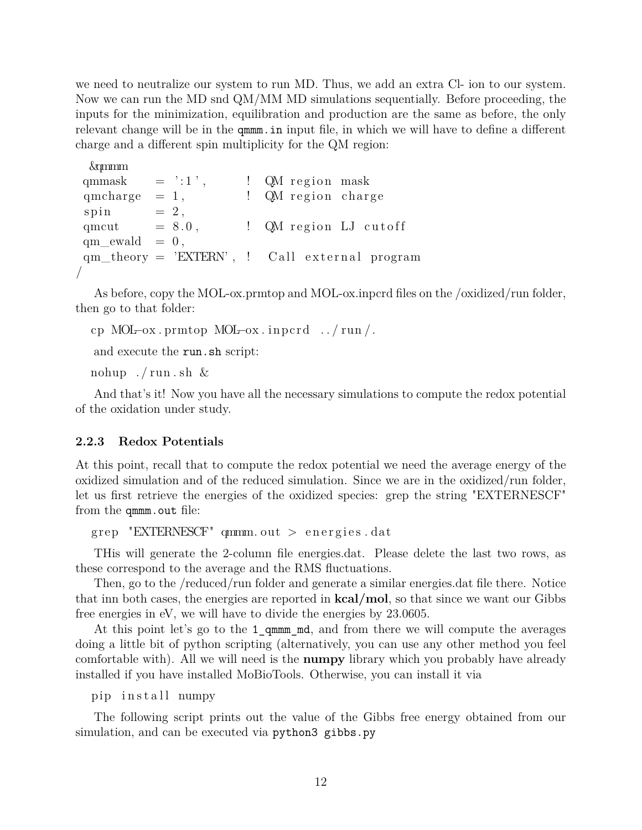we need to neutralize our system to run MD. Thus, we add an extra Cl- ion to our system. Now we can run the MD snd QM*/*MM MD simulations sequentially. Before proceeding, the inputs for the minimization, equilibration and production are the same as before, the only relevant change will be in the qmmm.in input file, in which we will have to define a different charge and a different spin multiplicity for the QM region:

```
&qmmm
qmmask = ' : 1', \qquad ! QM region mask
qmcharge = 1, \qquad \qquad ! QM region charge
spin = 2,
qmcut = 8.0, \therefore QM region LJ cutoff
qm<sub>l</sub>ewald = 0,qm\_theory = 'EXTERN', ! Callex./
```
As before, copy the MOL-ox.prmtop and MOL-ox.inpcrd files on the /oxidized/run folder, then go to that folder:

```
cp MOL–ox.prmtop MOL–ox.inpcrd ./run/.
```
and execute the run.sh script:

nohup  $./$  run  $.\,\text{sh} \ \&$ 

And that's it! Now you have all the necessary simulations to compute the redox potential of the oxidation under study.

#### **2.2.3 Redox Potentials**

At this point, recall that to compute the redox potential we need the average energy of the oxidized simulation and of the reduced simulation. Since we are in the oxidized/run folder, let us first retrieve the energies of the oxidized species: grep the string "EXTERNESCF" from the qmmm.out file:

```
grep "EXTERNESCF" qmm. out > energies. dat
```
THis will generate the 2-column file energies.dat. Please delete the last two rows, as these correspond to the average and the RMS fluctuations.

Then, go to the /reduced/run folder and generate a similar energies.dat file there. Notice that inn both cases, the energies are reported in **kcal/mol**, so that since we want our Gibbs free energies in eV, we will have to divide the energies by 23.0605.

At this point let's go to the 1 qmmm md, and from there we will compute the averages doing a little bit of python scripting (alternatively, you can use any other method you feel comfortable with). All we will need is the **numpy** library which you probably have already installed if you have installed MoBioTools. Otherwise, you can install it via

pip in stall numpy

The following script prints out the value of the Gibbs free energy obtained from our simulation, and can be executed via python3 gibbs.py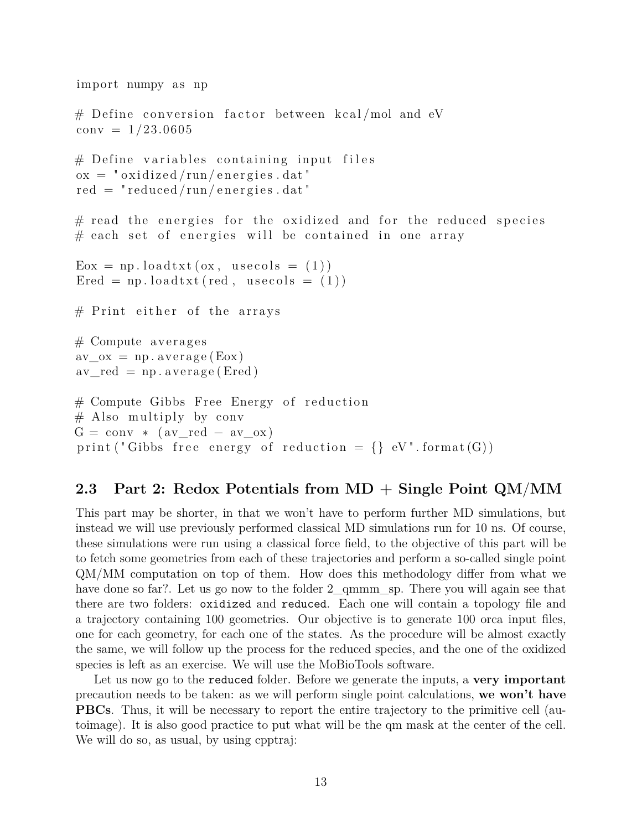```
import numpy as np
# Define conversion factor between kcal/mol and eV
conv = 1/23.0605# Define variables containing input files
\alpha x = " \alpha x idized / run/energies . dat"
red = "reduced/run/energies.dat"\# read the energies for the oxidized and for the reduced species
# each set of energies will be contained in one array
E_{\text{ox}} = np \cdot \text{loadtxt}(ox, usecols = (1))\text{Ered} = \text{np.loadtxt}(\text{red}, \text{usecols} = (1))# Print either of the arrays
# Compute averages
av_{ox} = np \cdot average (Eox)av_{red} = np \cdot average (Ered)# Compute Gibbs Free Energy of reduction
# Also multiply by conv
G = \text{conv} * (\text{av\_red} - \text{av\_ox})print ("Gibbs free energy of reduction = \{\} eV". format (G))
```
## **2.3 Part 2: Redox Potentials from MD + Single Point QM***/***MM**

This part may be shorter, in that we won't have to perform further MD simulations, but instead we will use previously performed classical MD simulations run for 10 ns. Of course, these simulations were run using a classical force field, to the objective of this part will be to fetch some geometries from each of these trajectories and perform a so-called single point QM*/*MM computation on top of them. How does this methodology differ from what we have done so far?. Let us go now to the folder 2 qmmm sp. There you will again see that there are two folders: oxidized and reduced. Each one will contain a topology file and a trajectory containing 100 geometries. Our objective is to generate 100 orca input files, one for each geometry, for each one of the states. As the procedure will be almost exactly the same, we will follow up the process for the reduced species, and the one of the oxidized species is left as an exercise. We will use the MoBioTools software.

Let us now go to the reduced folder. Before we generate the inputs, a **very important** precaution needs to be taken: as we will perform single point calculations, **we won't have PBCs**. Thus, it will be necessary to report the entire trajectory to the primitive cell (autoimage). It is also good practice to put what will be the qm mask at the center of the cell. We will do so, as usual, by using cpptraj: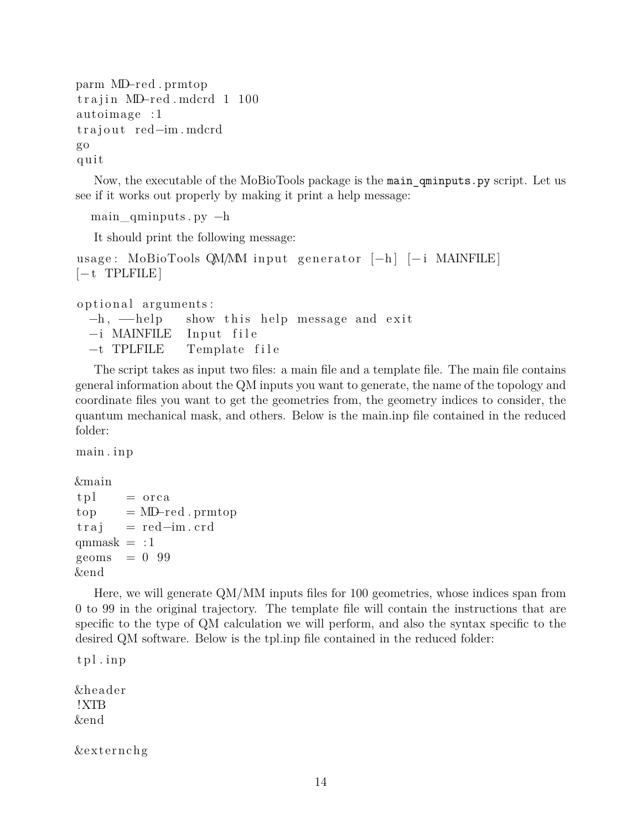```
parm MD−red . prmtop
trajin MD-red.mdcrd 1 100
autoimage :1
trajout red−im. mdcrd
go
q ui t
```
Now, the executable of the MoBioTools package is the main\_qminputs.py script. Let us see if it works out properly by making it print a help message:

```
main_qminputs . py −h
```
It should print the following message:

```
usage: MoBioTools QM/MM input generator [−h] [−i MAINFILE]
[-t] TPLFILE
```
optional arguments:

```
−h, →help show this help message and exit
−i MAINFILE Input file
−t TPLFILE Template f i l e
```
The script takes as input two files: a main file and a template file. The main file contains general information about the QM inputs you want to generate, the name of the topology and coordinate files you want to get the geometries from, the geometry indices to consider, the quantum mechanical mask, and others. Below is the main.inp file contained in the reduced folder:

main . inp

```
&main
tpl = orcatop = MD–red . prmtop
trai = red-im. crdqmmask = :1geoms = 0.99&end
```
Here, we will generate QM*/*MM inputs files for 100 geometries, whose indices span from 0 to 99 in the original trajectory. The template file will contain the instructions that are specific to the type of QM calculation we will perform, and also the syntax specific to the desired QM software. Below is the tpl.inp file contained in the reduced folder:

```
t p l . in p
```
&heade r !XTB &end

&e x t e r n c hg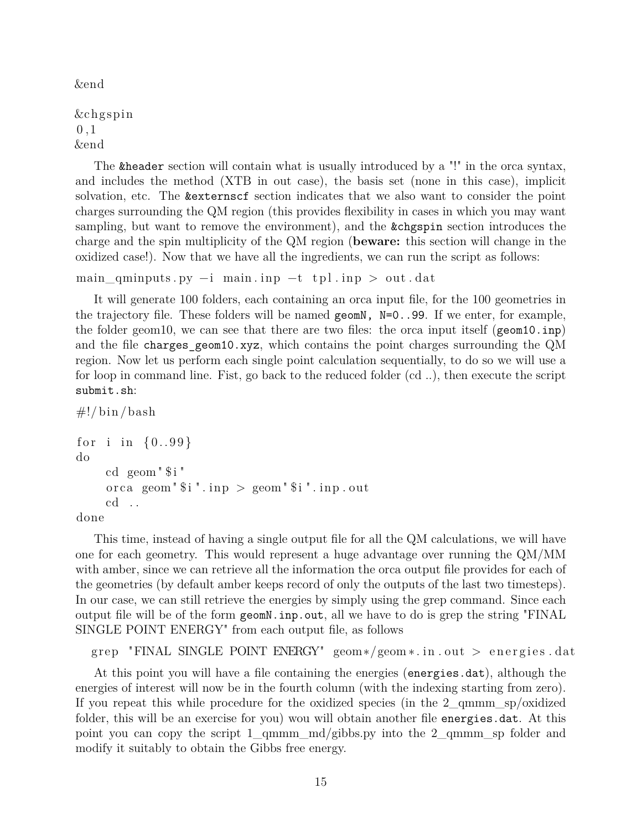&end

&c hg s pi n  $0,1$ &end

The &header section will contain what is usually introduced by a "!" in the orca syntax, and includes the method (XTB in out case), the basis set (none in this case), implicit solvation, etc. The &externscf section indicates that we also want to consider the point charges surrounding the QM region (this provides flexibility in cases in which you may want sampling, but want to remove the environment), and the &chgspin section introduces the charge and the spin multiplicity of the QM region (**beware:** this section will change in the oxidized case!). Now that we have all the ingredients, we can run the script as follows:

```
main\_qminputs.py -i main.inp -t tpl.inp > out.dat
```
It will generate 100 folders, each containing an orca input file, for the 100 geometries in the trajectory file. These folders will be named  $\gamma$ ,  $N=0.99$ . If we enter, for example, the folder geom10, we can see that there are two files: the orca input itself (geom10.inp) and the file charges\_geom10.xyz, which contains the point charges surrounding the QM region. Now let us perform each single point calculation sequentially, to do so we will use a for loop in command line. Fist, go back to the reduced folder (cd ..), then execute the script submit.sh:

```
\#!/ \text{bin}/ \text{bash}for i in {0..99}do
     cd \text{ geom} " $ i"orca geom "\i". inp > geom "\i". inp. out
     cd . .
```
done

This time, instead of having a single output file for all the QM calculations, we will have one for each geometry. This would represent a huge advantage over running the QM*/*MM with amber, since we can retrieve all the information the orca output file provides for each of the geometries (by default amber keeps record of only the outputs of the last two timesteps). In our case, we can still retrieve the energies by simply using the grep command. Since each output file will be of the form geomN.inp.out, all we have to do is grep the string "FINAL SINGLE POINT ENERGY" from each output file, as follows

```
grep "FINAL SINGLE POINT ENERGY" geom∗/geom∗.in.out > energies.dat
```
At this point you will have a file containing the energies (energies.dat), although the energies of interest will now be in the fourth column (with the indexing starting from zero). If you repeat this while procedure for the oxidized species (in the 2\_qmmm\_sp/oxidized folder, this will be an exercise for you) wou will obtain another file energies dat. At this point you can copy the script  $1_{\text{qmmm}}$  md/gibbs.py into the  $2_{\text{qmmm}}$  sp folder and modify it suitably to obtain the Gibbs free energy.